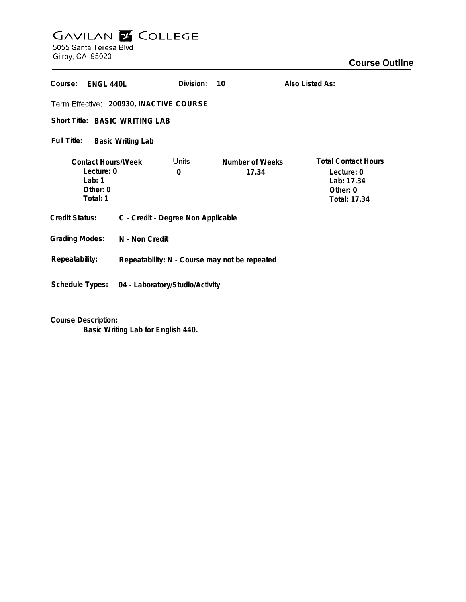## GAVILAN E COLLEGE<br>5055 Santa Teresa Blvd

Gilroy, CA 95020

| Course:<br>ENGL 440L                                                          |                                               | Division:         | 10                       | Also Listed As:                                                                    |
|-------------------------------------------------------------------------------|-----------------------------------------------|-------------------|--------------------------|------------------------------------------------------------------------------------|
| Term Effective: 200930, INACTIVE COURSE                                       |                                               |                   |                          |                                                                                    |
| Short Title: BASIC WRITING LAB                                                |                                               |                   |                          |                                                                                    |
| Full Title:<br><b>Basic Writing Lab</b>                                       |                                               |                   |                          |                                                                                    |
| <b>Contact Hours/Week</b><br>Lecture: 0<br>Lab: $1$<br>Other: $0$<br>Total: 1 |                                               | <u>Units</u><br>0 | Number of Weeks<br>17.34 | <b>Total Contact Hours</b><br>Lecture: 0<br>Lab: 17.34<br>Other: 0<br>Total: 17.34 |
| <b>Credit Status:</b>                                                         | C - Credit - Degree Non Applicable            |                   |                          |                                                                                    |
| <b>Grading Modes:</b>                                                         | N - Non Credit                                |                   |                          |                                                                                    |
| Repeatability:                                                                | Repeatability: N - Course may not be repeated |                   |                          |                                                                                    |
| Schedule Types:                                                               | 04 - Laboratory/Studio/Activity               |                   |                          |                                                                                    |

**Course Description:**

**Basic Writing Lab for English 440.**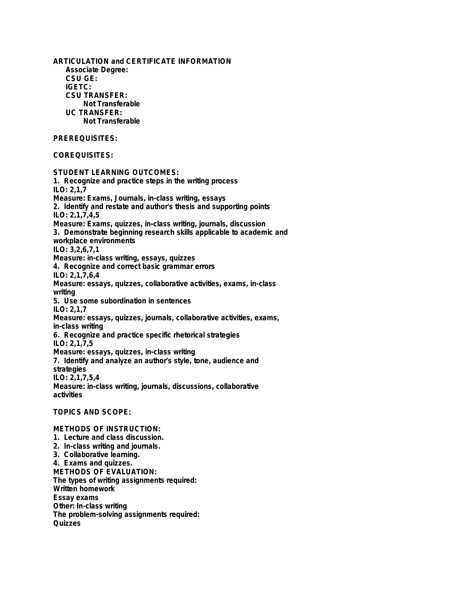**ARTICULATION and CERTIFICATE INFORMATION Associate Degree: CSU GE: IGETC: CSU TRANSFER: Not Transferable UC TRANSFER: Not Transferable PREREQUISITES: COREQUISITES: STUDENT LEARNING OUTCOMES: 1. Recognize and practice steps in the writing process ILO: 2,1,7 Measure: Exams, Journals, in-class writing, essays 2. Identify and restate and author's thesis and supporting points ILO: 2,1,7,4,5 Measure: Exams, quizzes, in-class writing, journals, discussion 3. Demonstrate beginning research skills applicable to academic and workplace environments ILO: 3,2,6,7,1 Measure: in-class writing, essays, quizzes 4. Recognize and correct basic grammar errors ILO: 2,1,7,6,4 Measure: essays, quizzes, collaborative activities, exams, in-class writing 5. Use some subordination in sentences ILO: 2,1,7 Measure: essays, quizzes, journals, collaborative activities, exams, in-class writing 6. Recognize and practice specific rhetorical strategies ILO: 2,1,7,5 Measure: essays, quizzes, in-class writing 7. Identify and analyze an author's style, tone, audience and strategies ILO: 2,1,7,5,4 Measure: in-class writing, journals, discussions, collaborative activities TOPICS AND SCOPE: METHODS OF INSTRUCTION: 1. Lecture and class discussion. 2. In-class writing and journals. 3. Collaborative learning.**

**4. Exams and quizzes. METHODS OF EVALUATION: The types of writing assignments required: Written homework Essay exams Other: In-class writing The problem-solving assignments required: Quizzes**